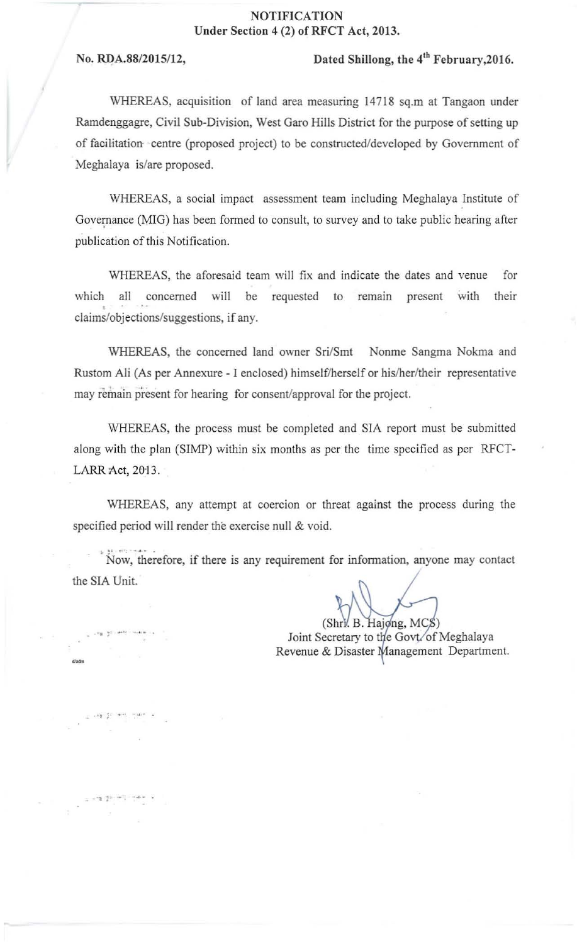## **NOTIFICATION** Under Section 4 (2) of RFCT Act, 2013.

,, - . . "~ ;

.." ~. - .

## No. RDA.88/2015/12, Dated Shillong, the 4<sup>th</sup> February, 2016.

WHEREAS, acquisition of land area measuring 14718 sq.m at Tangaon under Ramdenggagre, Civil Sub-Division, West Garo Hills District for the purpose of setting up of facilitation ' centre (proposed project) to be constructed/developed by Government of Meghalaya is/are proposed.

WHEREAS, a social impact assessment team including Meghalaya Institute of Governance (MIG) has been formed to consult, to survey and to take public hearing after publication of this Notification.

WHEREAS, the aforesaid team will fix and indicate the dates and venue for **which all concerned will be requested to remain present** with **their**  • claims/objections/suggestions, if any.

WHEREAS, the concerned land owner Sri/Smt Nonme Sangma Nokma and Rustom Ali (As per Annexure - I enclosed) himself/herself or his/her/their representative **may remain present for hearing for consent/approval for the project.** 

WHEREAS, the process must be completed and SIA report must be submitted along with the plan (SIMP) within six months as per the time specified as per RFCT-LARR Act, 2013.

WHEREAS, any attempt at coercion or threat against the process during the specified period will render the exercise null & void.

Now, therefore, if there is any requirement for information, anyone may contact the SIA Unit

 $(Shr$ . B. Hajong, MCS)

Joint Secretary to the Govt/of Meghalaya **Revenue & Disaster Management Department.**